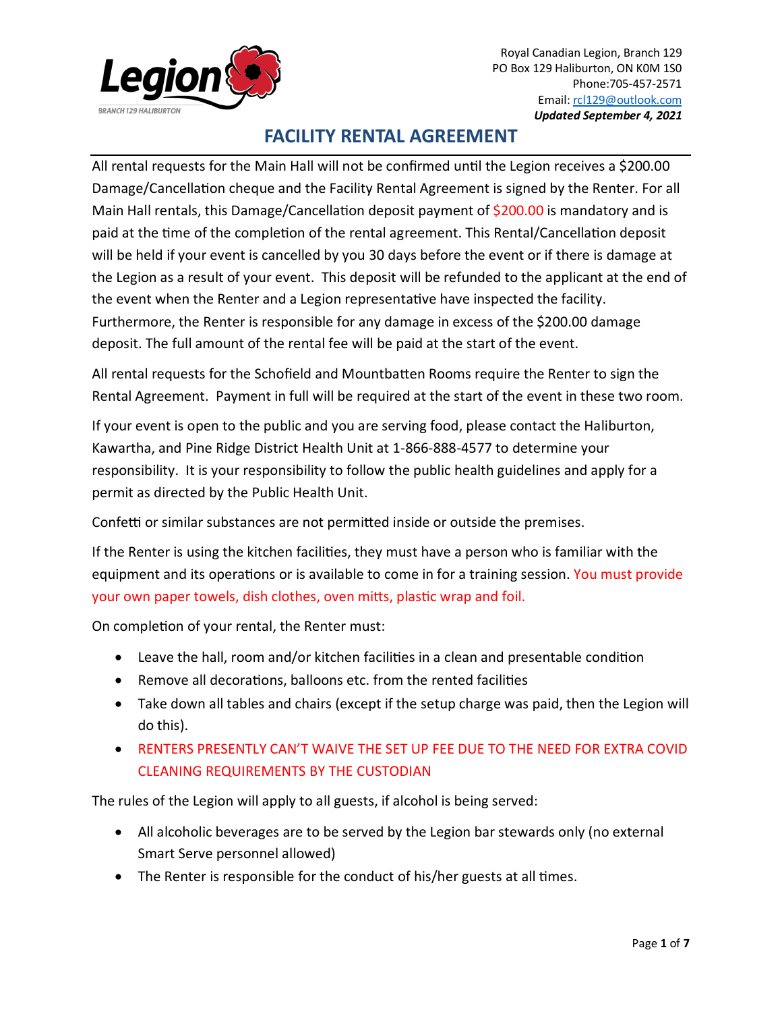

All rental requests for the Main Hall will not be confirmed until the Legion receives a \$200.00 Damage/Cancellation cheque and the Facility Rental Agreement is signed by the Renter. For all Main Hall rentals, this Damage/Cancellation deposit payment of \$200.00 is mandatory and is paid at the time of the completion of the rental agreement. This Rental/Cancellation deposit will be held if your event is cancelled by you 30 days before the event or if there is damage at the Legion as a result of your event. This deposit will be refunded to the applicant at the end of the event when the Renter and a Legion representative have inspected the facility. Furthermore, the Renter is responsible for any damage in excess of the \$200.00 damage deposit. The full amount of the rental fee will be paid at the start of the event.

All rental requests for the Schofield and Mountbaten Rooms require the Renter to sign the Rental Agreement. Payment in full will be required at the start of the event in these two room.

If your event is open to the public and you are serving food, please contact the Haliburton, Kawartha, and Pine Ridge District Health Unit at 1-866-888-4577 to determine your responsibility. It is your responsibility to follow the public health guidelines and apply for a permit as directed by the Public Health Unit.

Confetti or similar substances are not permitted inside or outside the premises.

If the Renter is using the kitchen facilities, they must have a person who is familiar with the equipment and its operations or is available to come in for a training session. You must provide your own paper towels, dish clothes, oven mitts, plastic wrap and foil.

On completion of your rental, the Renter must:

- Leave the hall, room and/or kitchen facilities in a clean and presentable condition
- Remove all decorations, balloons etc. from the rented facilities
- Take down all tables and chairs (except if the setup charge was paid, then the Legion will do this).
- RENTERS PRESENTLY CAN'T WAIVE THE SET UP FEE DUE TO THE NEED FOR EXTRA COVID CLEANING REQUIREMENTS BY THE CUSTODIAN

The rules of the Legion will apply to all guests, if alcohol is being served:

- All alcoholic beverages are to be served by the Legion bar stewards only (no external Smart Serve personnel allowed)
- The Renter is responsible for the conduct of his/her guests at all times.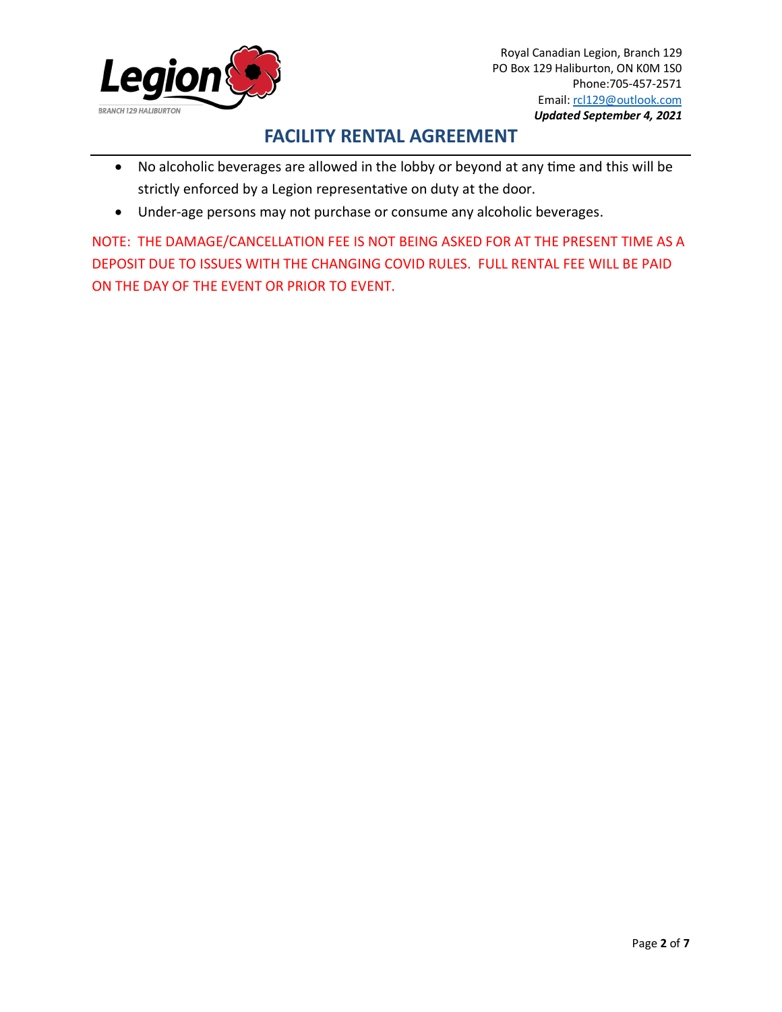

- No alcoholic beverages are allowed in the lobby or beyond at any time and this will be strictly enforced by a Legion representative on duty at the door.
- Under-age persons may not purchase or consume any alcoholic beverages.

NOTE: THE DAMAGE/CANCELLATION FEE IS NOT BEING ASKED FOR AT THE PRESENT TIME AS A DEPOSIT DUE TO ISSUES WITH THE CHANGING COVID RULES. FULL RENTAL FEE WILL BE PAID ON THE DAY OF THE EVENT OR PRIOR TO EVENT.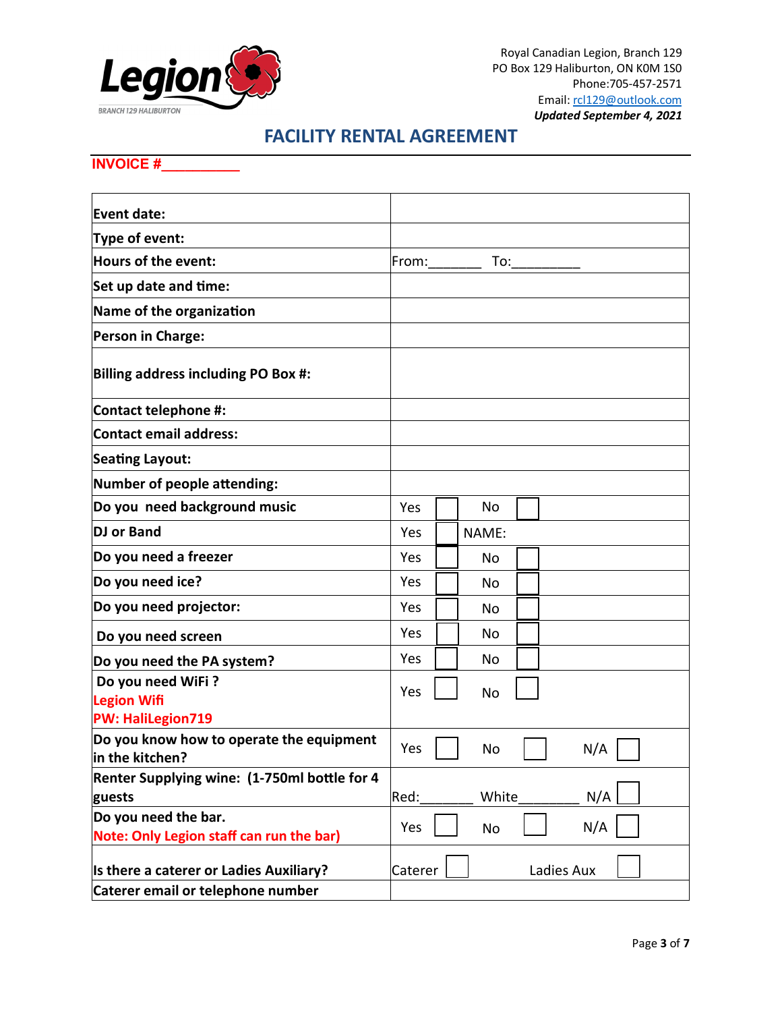

#### **INVOICE #\_\_\_\_\_\_\_\_\_\_**

| <b>Event date:</b>                                               |            |           |            |
|------------------------------------------------------------------|------------|-----------|------------|
| Type of event:                                                   |            |           |            |
| Hours of the event:                                              | From:      | To:       |            |
| Set up date and time:                                            |            |           |            |
| Name of the organization                                         |            |           |            |
| <b>Person in Charge:</b>                                         |            |           |            |
| <b>Billing address including PO Box #:</b>                       |            |           |            |
| <b>Contact telephone #:</b>                                      |            |           |            |
| <b>Contact email address:</b>                                    |            |           |            |
| <b>Seating Layout:</b>                                           |            |           |            |
| Number of people attending:                                      |            |           |            |
| Do you need background music                                     | Yes        | No.       |            |
| DJ or Band                                                       | Yes        | NAME:     |            |
| Do you need a freezer                                            | Yes        | No        |            |
| Do you need ice?                                                 | <b>Yes</b> | No        |            |
| Do you need projector:                                           | Yes        | No        |            |
| Do you need screen                                               | Yes        | No        |            |
| Do you need the PA system?                                       | Yes        | No.       |            |
| Do you need WiFi?<br><b>Legion Wifi</b>                          | Yes        | No        |            |
| <b>PW: HaliLegion719</b>                                         |            |           |            |
| Do you know how to operate the equipment<br>in the kitchen?      | Yes        | <b>No</b> | N/A        |
| Renter Supplying wine: (1-750ml bottle for 4                     |            |           |            |
| guests                                                           | Red:       | White     | N/A        |
| Do you need the bar.<br>Note: Only Legion staff can run the bar) | Yes        | No        | N/A        |
| Is there a caterer or Ladies Auxiliary?                          | Caterer    |           | Ladies Aux |
| Caterer email or telephone number                                |            |           |            |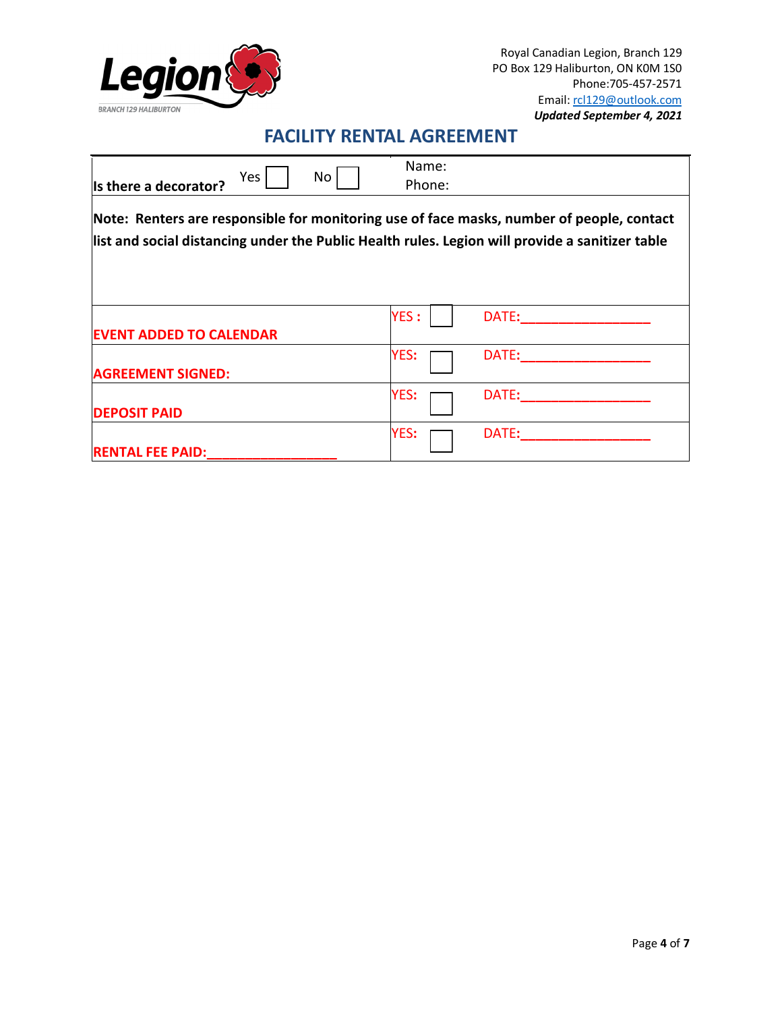

| Is there a decorator?                                                                                                                                                                        | Yes | No | Name:<br>Phone: |       |  |
|----------------------------------------------------------------------------------------------------------------------------------------------------------------------------------------------|-----|----|-----------------|-------|--|
| Note: Renters are responsible for monitoring use of face masks, number of people, contact<br>list and social distancing under the Public Health rules. Legion will provide a sanitizer table |     |    |                 |       |  |
| <b>EVENT ADDED TO CALENDAR</b>                                                                                                                                                               |     |    | <b>YES:</b>     | DATE: |  |
| <b>AGREEMENT SIGNED:</b>                                                                                                                                                                     |     |    | YES:            | DATE: |  |
| <b>DEPOSIT PAID</b>                                                                                                                                                                          |     |    | YES:            | DATE: |  |
| <b>RENTAL FEE PAID:</b>                                                                                                                                                                      |     |    | YES:            | DATE: |  |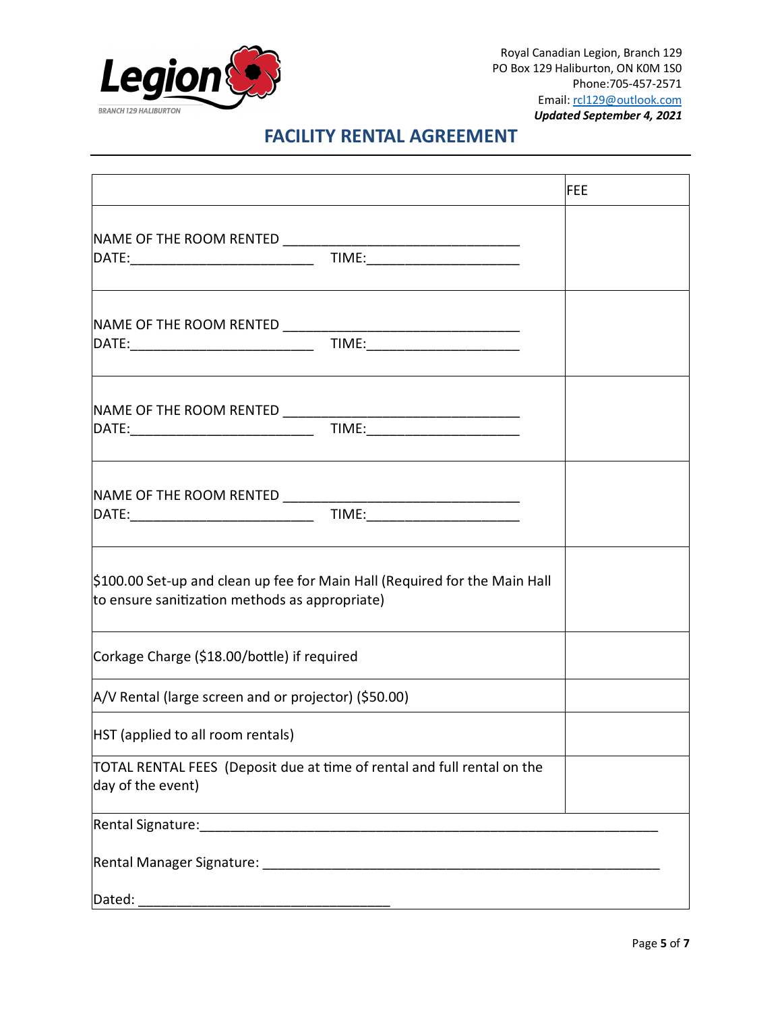

Royal Canadian Legion, Branch 129 PO Box 129 Haliburton, ON K0M 1S0 Phone:705-457-2571 Email[: rcl129@outlook.com](mailto:rcl129@outlook.com) *Updated September 4, 2021*

## **FACILITY RENTAL AGREEMENT**

|                                                                                                                              | <b>FEE</b> |
|------------------------------------------------------------------------------------------------------------------------------|------------|
|                                                                                                                              |            |
|                                                                                                                              |            |
|                                                                                                                              |            |
|                                                                                                                              |            |
|                                                                                                                              |            |
|                                                                                                                              |            |
|                                                                                                                              |            |
|                                                                                                                              |            |
|                                                                                                                              |            |
| \$100.00 Set-up and clean up fee for Main Hall (Required for the Main Hall<br>to ensure sanitization methods as appropriate) |            |
| Corkage Charge (\$18.00/bottle) if required                                                                                  |            |
| A/V Rental (large screen and or projector) (\$50.00)                                                                         |            |
| HST (applied to all room rentals)                                                                                            |            |
| TOTAL RENTAL FEES (Deposit due at time of rental and full rental on the<br>day of the event)                                 |            |
|                                                                                                                              |            |
|                                                                                                                              |            |
| Dated:                                                                                                                       |            |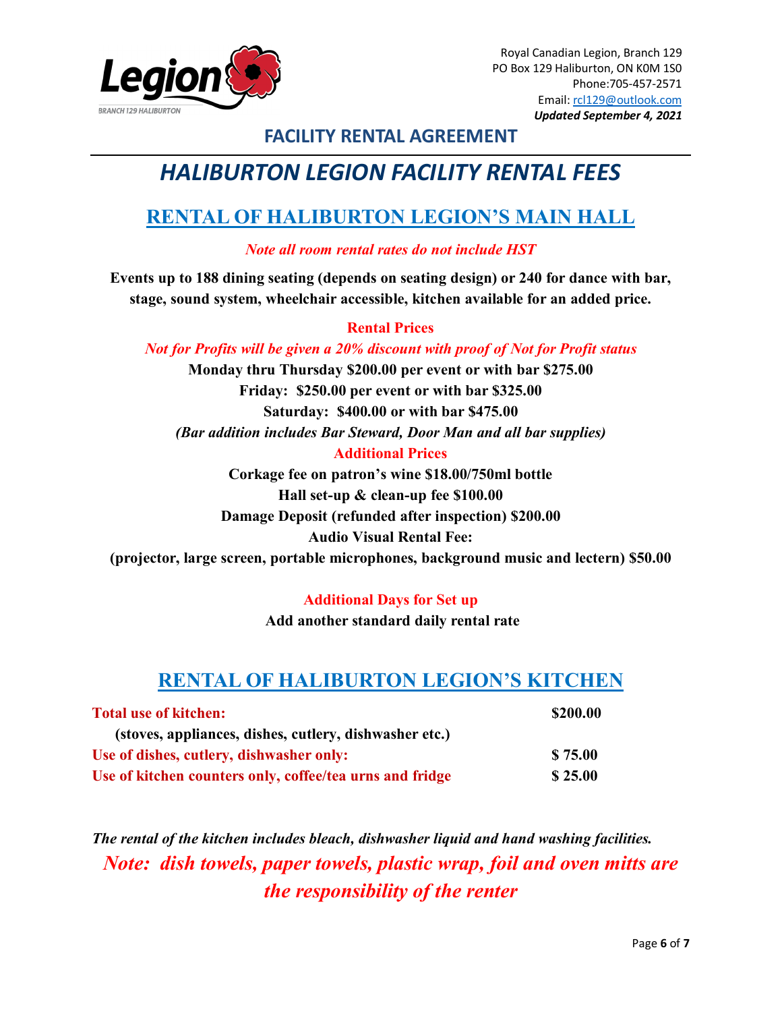

# *HALIBURTON LEGION FACILITY RENTAL FEES*

## **RENTAL OF HALIBURTON LEGION'S MAIN HALL**

*Note all room rental rates do not include HST*

**Events up to 188 dining seating (depends on seating design) or 240 for dance with bar, stage, sound system, wheelchair accessible, kitchen available for an added price.** 

#### **Rental Prices**

#### *Not for Profits will be given a 20% discount with proof of Not for Profit status*

**Monday thru Thursday \$200.00 per event or with bar \$275.00 Friday: \$250.00 per event or with bar \$325.00 Saturday: \$400.00 or with bar \$475.00** *(Bar addition includes Bar Steward, Door Man and all bar supplies)* **Additional Prices**

**Corkage fee on patron's wine \$18.00/750ml bottle Hall set-up & clean-up fee \$100.00 Damage Deposit (refunded after inspection) \$200.00 Audio Visual Rental Fee:** 

**(projector, large screen, portable microphones, background music and lectern) \$50.00** 

#### **Additional Days for Set up**

**Add another standard daily rental rate** 

## **RENTAL OF HALIBURTON LEGION'S KITCHEN**

| <b>Total use of kitchen:</b>                             | \$200.00 |  |
|----------------------------------------------------------|----------|--|
| (stoves, appliances, dishes, cutlery, dishwasher etc.)   |          |  |
| Use of dishes, cutlery, dishwasher only:                 | \$75.00  |  |
| Use of kitchen counters only, coffee/tea urns and fridge | \$25.00  |  |

*The rental of the kitchen includes bleach, dishwasher liquid and hand washing facilities. Note: dish towels, paper towels, plastic wrap, foil and oven mitts are the responsibility of the renter*